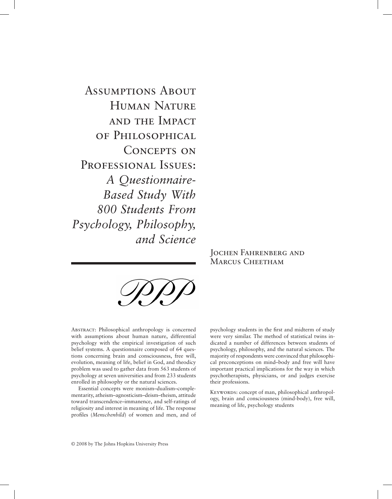Assumptions About HUMAN NATURE and the Impact of Philosophical CONCEPTS ON PROFESSIONAL ISSUES: *A Questionnaire-Based Study With 800 Students From Psychology, Philosophy, and Science*

# Jochen Fahrenberg and MARCUS CHEETHAM



Abstract: Philosophical anthropology is concerned with assumptions about human nature, differential psychology with the empirical investigation of such belief systems. A questionnaire composed of 64 questions concerning brain and consciousness, free will, evolution, meaning of life, belief in God, and theodicy problem was used to gather data from 563 students of psychology at seven universities and from 233 students enrolled in philosophy or the natural sciences.

Essential concepts were monism–dualism–complementarity, atheism–agnosticism–deism–theism, attitude toward transcendence–immanence, and self-ratings of religiosity and interest in meaning of life. The response profiles (*Menschenbild*) of women and men, and of

psychology students in the first and midterm of study were very similar. The method of statistical twins indicated a number of differences between students of psychology, philosophy, and the natural sciences. The majority of respondents were convinced that philosophical preconceptions on mind–body and free will have important practical implications for the way in which psychotherapists, physicians, or and judges exercise their professions.

KEYWORDS: concept of man, philosophical anthropology, brain and consciousness (mind-body), free will, meaning of life, psychology students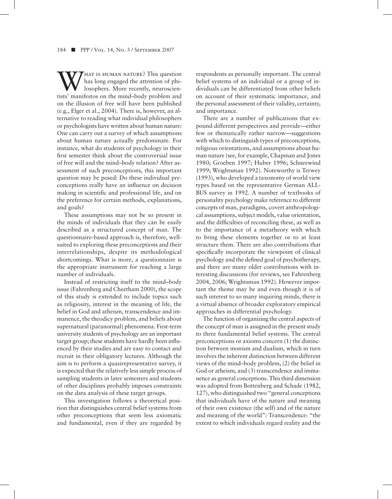HAT IS HUMAN NATURE? This question has long engaged the attention of philosophers. More recently, neuroscientists' manifestos on the mind–body problem and on the illusion of free will have been published (e.g., Elger et al., 2004). There is, however, an alternative to reading what individual philosophers or psychologists have written about human nature: One can carry out a survey of which assumptions about human nature actually predominate. For instance, what do students of psychology in their first semester think about the controversial issue of free will and the mind–body relation? After assessment of such preconceptions, this important question may be posed: Do these individual preconceptions really have an influence on decision making in scientific and professional life, and on the preference for certain methods, explanations, and goals?

These assumptions may not be so present in the minds of individuals that they can be easily described as a structured concept of man. The questionnaire-based approach is, therefore, wellsuited to exploring these preconceptions and their interrelationships, despite its methodological shortcomings. What is more, a questionnaire is the appropriate instrument for reaching a large number of individuals.

Instead of restricting itself to the mind–body issue (Fahrenberg and Cheetham 2000), the scope of this study is extended to include topics such as religiosity, interest in the meaning of life, the belief in God and atheism, transcendence and immanence, the theodicy problem, and beliefs about supernatural (paranormal) phenomena. First-term university students of psychology are an important target group; these students have hardly been influenced by their studies and are easy to contact and recruit in their obligatory lectures. Although the aim is to perform a quasirepresentative survey, it is expected that the relatively less simple process of sampling students in later semesters and students of other disciplines probably imposes constraints on the data analysis of these target groups.

This investigation follows a theoretical position that distinguishes central belief systems from other preconceptions that seem less axiomatic and fundamental, even if they are regarded by respondents as personally important. The central belief systems of an individual or a group of individuals can be differentiated from other beliefs on account of their systematic importance, and the personal assessment of their validity, certainty, and importance.

There are a number of publications that expound different perspectives and provide—either few or thematically rather narrow—suggestions with which to distinguish types of preconceptions, religious orientations, and assumptions about human nature (see, for example, Chapman and Jones 1980; Groeben 1997; Huber 1996; Schneewind 1999; Wrightsman 1992). Noteworthy is Terwey (1993), who developed a taxonomy of world view types based on the representative German ALL-BUS survey in 1992. A number of textbooks of personality psychology make reference to different concepts of man, paradigms, covert anthropological assumptions, subject models, value orientation, and the difficulties of reconciling these, as well as to the importance of a metatheory with which to bring these elements together or to at least structure them. There are also contributions that specifically incorporate the viewpoint of clinical psychology and the defined goal of psychotherapy, and there are many older contributions with interesting discussions (for reviews, see Fahrenberg 2004, 2006; Wrightsman 1992). However important the theme may be and even though it is of such interest to so many inquiring minds, there is a virtual absence of broader exploratory empirical approaches in differential psychology.

The function of organizing the central aspects of the concept of man is assigned in the present study to three fundamental belief systems. The central preconceptions or axioms concern (1) the distinction between monism and dualism, which in turn involves the inherent distinction between different views of the mind–body problem, (2) the belief in God or atheism, and (3) transcendence and immanence as general conceptions. This third dimension was adopted from Bottenberg and Schade (1982, 127), who distinguished two "general conceptions that individuals have of the nature and meaning of their own existence (the self) and of the nature and meaning of the world": Transcendence: "the extent to which individuals regard reality and the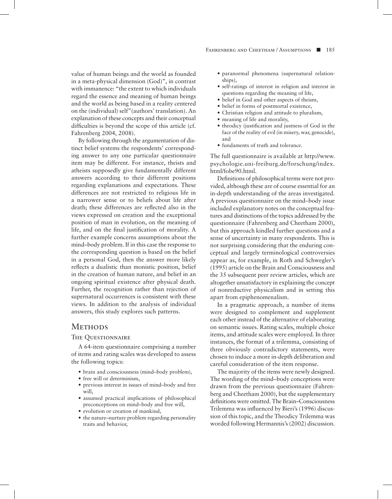value of human beings and the world as founded in a meta-physical dimension (God)", in contrast with immanence: "the extent to which individuals regard the essence and meaning of human beings and the world as being based in a reality centered on the (individual) self"(authors' translation). An explanation of these concepts and their conceptual difficulties is beyond the scope of this article (cf. Fahrenberg 2004, 2008).

By following through the argumentation of distinct belief systems the respondents' corresponding answer to any one particular questionnaire item may be different. For instance, theists and atheists supposedly give fundamentally different answers according to their different positions regarding explanations and expectations. These differences are not restricted to religious life in a narrower sense or to beliefs about life after death; these differences are reflected also in the views expressed on creation and the exceptional position of man in evolution, on the meaning of life, and on the final justification of morality. A further example concerns assumptions about the mind–body problem. If in this case the response to the corresponding question is based on the belief in a personal God, then the answer more likely reflects a dualistic than monistic position, belief in the creation of human nature, and belief in an ongoing spiritual existence after physical death. Further, the recognition rather than rejection of supernatural occurrences is consistent with these views. In addition to the analysis of individual answers, this study explores such patterns.

### **METHODS**

#### The Questionnaire

A 64-item questionnaire comprising a number of items and rating scales was developed to assess the following topics:

- brain and consciousness (mind–body problem),
- free will or determinism,
- previous interest in issues of mind–body and free will,
- assumed practical implications of philosophical preconceptions on mind–body and free will,
- evolution or creation of mankind,
- the nature–nurture problem regarding personality traits and behavior,
- paranormal phenomena (supernatural relationships),
- self-ratings of interest in religion and interest in questions regarding the meaning of life,
- belief in God and other aspects of theism,
- belief in forms of postmortal existence,
- Christian religion and attitude to pluralism,
- meaning of life and morality,
- theodicy (justification and justness of God in the face of the reality of evil (in misery, war, genocide), and
- fundaments of truth and tolerance.

The full questionnaire is available at http://www. psychologie.uni-freiburg.de/forschung/index. html/fobe90.html.

Definitions of philosophical terms were not provided, although these are of course essential for an in-depth understanding of the areas investigated. A previous questionnaire on the mind–body issue included explanatory notes on the conceptual features and distinctions of the topics addressed by the questionnaire (Fahrenberg and Cheetham 2000), but this approach kindled further questions and a sense of uncertainty in many respondents. This is not surprising considering that the enduring conceptual and largely terminological controversies appear as, for example, in Roth and Schwegler's (1995) article on the Brain and Consciousness and the 35 subsequent peer review articles, which are altogether unsatisfactory in explaining the concept of nonreductive physicalism and in setting this apart from epiphenomenalism.

In a pragmatic approach, a number of items were designed to complement and supplement each other instead of the alternative of elaborating on semantic issues. Rating scales, multiple choice items, and attitude scales were employed. In three instances, the format of a trilemma, consisting of three obviously contradictory statements, were chosen to induce a more in-depth deliberation and careful consideration of the item response.

The majority of the items were newly designed. The wording of the mind–body conceptions were drawn from the previous questionnaire (Fahrenberg and Cheetham 2000), but the supplementary definitions were omitted. The Brain–Consciousness Trilemma was influenced by Bieri's (1996) discussion of this topic, and the Theodicy Trilemma was worded following Hermannis's (2002) discussion.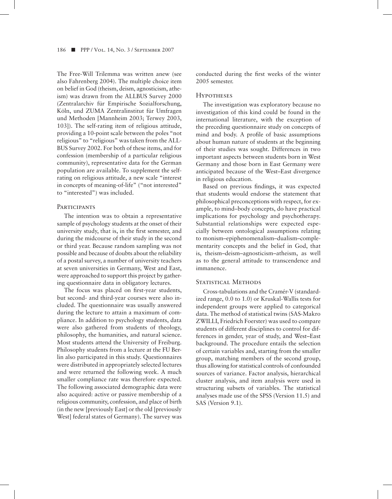The Free-Will Trilemma was written anew (see also Fahrenberg 2004). The multiple choice item on belief in God (theism, deism, agnosticism, atheism) was drawn from the ALLBUS Survey 2000 (Zentralarchiv für Empirische Sozialforschung, Köln, und ZUMA Zentralinstitut für Umfragen und Methoden [Mannheim 2003; Terwey 2003, 103]). The self-rating item of religious attitude, providing a 10-point scale between the poles "not religious" to "religious" was taken from the ALL-BUS Survey 2002. For both of these items, and for confession (membership of a particular religious community), representative data for the German population are available. To supplement the selfrating on religious attitude, a new scale "interest in concepts of meaning-of-life" ("not interested" to "interested") was included.

#### **PARTICIPANTS**

The intention was to obtain a representative sample of psychology students at the onset of their university study, that is, in the first semester, and during the midcourse of their study in the second or third year. Because random sampling was not possible and because of doubts about the reliability of a postal survey, a number of university teachers at seven universities in Germany, West and East, were approached to support this project by gathering questionnaire data in obligatory lectures.

The focus was placed on first-year students, but second- and third-year courses were also included. The questionnaire was usually answered during the lecture to attain a maximum of compliance. In addition to psychology students, data were also gathered from students of theology, philosophy, the humanities, and natural science. Most students attend the University of Freiburg. Philosophy students from a lecture at the FU Berlin also participated in this study. Questionnaires were distributed in appropriately selected lectures and were returned the following week. A much smaller compliance rate was therefore expected. The following associated demographic data were also acquired: active or passive membership of a religious community, confession, and place of birth (in the new [previously East] or the old [previously West] federal states of Germany). The survey was conducted during the first weeks of the winter 2005 semester.

#### **HYPOTHESES**

The investigation was exploratory because no investigation of this kind could be found in the international literature, with the exception of the preceding questionnaire study on concepts of mind and body. A profile of basic assumptions about human nature of students at the beginning of their studies was sought. Differences in two important aspects between students born in West Germany and those born in East Germany were anticipated because of the West–East divergence in religious education.

Based on previous findings, it was expected that students would endorse the statement that philosophical preconceptions with respect, for example, to mind–body concepts, do have practical implications for psychology and psychotherapy. Substantial relationships were expected especially between ontological assumptions relating to monism–epiphenomenalism–dualism–complementarity concepts and the belief in God, that is, theism–deism–agnosticism–atheism, as well as to the general attitude to transcendence and immanence.

#### STATISTICAL METHODS

Cross-tabulations and the Cramér-V (standardized range, 0.0 to 1.0) or Kruskal-Wallis tests for independent groups were applied to categorical data. The method of statistical twins (SAS-Makro ZWILLI, Friedrich Foerster) was used to compare students of different disciplines to control for differences in gender, year of study, and West–East background. The procedure entails the selection of certain variables and, starting from the smaller group, matching members of the second group, thus allowing for statistical controls of confounded sources of variance. Factor analysis, hierarchical cluster analysis, and item analysis were used in structuring subsets of variables. The statistical analyses made use of the SPSS (Version 11.5) and SAS (Version 9.1).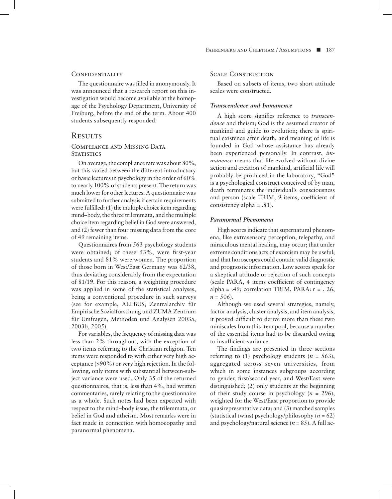#### **CONFIDENTIALITY**

The questionnaire was filled in anonymously. It was announced that a research report on this investigation would become available at the homepage of the Psychology Department, University of Freiburg, before the end of the term. About 400 students subsequently responded.

## **RESULTS**

### COMPLIANCE AND MISSING DATA **STATISTICS**

On average, the compliance rate was about 80%, but this varied between the different introductory or basic lectures in psychology in the order of 60% to nearly 100% of students present. The return was much lower for other lectures. A questionnaire was submitted to further analysis if certain requirements were fulfilled: (1) the multiple choice item regarding mind–body, the three trilemmata, and the multiple choice item regarding belief in God were answered, and (2) fewer than four missing data from the core of 49 remaining items.

Questionnaires from 563 psychology students were obtained; of these 53%, were first-year students and 81% were women. The proportion of those born in West/East Germany was 62/38, thus deviating considerably from the expectation of 81/19. For this reason, a weighting procedure was applied in some of the statistical analyses, being a conventional procedure in such surveys (see for example, ALLBUS; Zentralarchiv für Empirische Sozialforschung und ZUMA Zentrum für Umfragen, Methoden und Analysen 2003a, 2003b, 2005).

For variables, the frequency of missing data was less than 2% throughout, with the exception of two items referring to the Christian religion. Ten items were responded to with either very high acceptance (>90%) or very high rejection. In the following, only items with substantial between-subject variance were used. Only 35 of the returned questionnaires, that is, less than 4%, had written commentaries, rarely relating to the questionnaire as a whole. Such notes had been expected with respect to the mind–body issue, the trilemmata, or belief in God and atheism. Most remarks were in fact made in connection with homoeopathy and paranormal phenomena.

#### Scale Construction

Based on subsets of items, two short attitude scales were constructed.

#### *Transcendence and Immanence*

A high score signifies reference to *transcendence* and theism; God is the assumed creator of mankind and guide to evolution; there is spiritual existence after death, and meaning of life is founded in God whose assistance has already been experienced personally. In contrast, *immanence* means that life evolved without divine action and creation of mankind, artificial life will probably be produced in the laboratory, "God" is a psychological construct conceived of by man, death terminates the individual's consciousness and person (scale TRIM, 9 items, coefficient of consistency alpha = .81).

#### *Paranormal Phenomena*

High scores indicate that supernatural phenomena, like extrasensory perception, telepathy, and miraculous mental healing, may occur; that under extreme conditions acts of exorcism may be useful; and that horoscopes could contain valid diagnostic and prognostic information. Low scores speak for a skeptical attitude or rejection of such concepts (scale PARA, 4 items coefficient of contingency alpha = .49; correlation TRIM, PARA:  $r = 0.26$ ,  $n = 506$ .

Although we used several strategies, namely, factor analysis, cluster analysis, and item analysis, it proved difficult to derive more than these two miniscales from this item pool, because a number of the essential items had to be discarded owing to insufficient variance.

The findings are presented in three sections referring to (1) psychology students ( $n = 563$ ), aggregated across seven universities, from which in some instances subgroups according to gender, first/second year, and West/East were distinguished; (2) only students at the beginning of their study course in psychology  $(n = 296)$ , weighted for the West/East proportion to provide quasirepresentative data; and (3) matched samples (statistical twins) psychology/philosophy  $(n = 62)$ and psychology/natural science  $(n = 85)$ . A full ac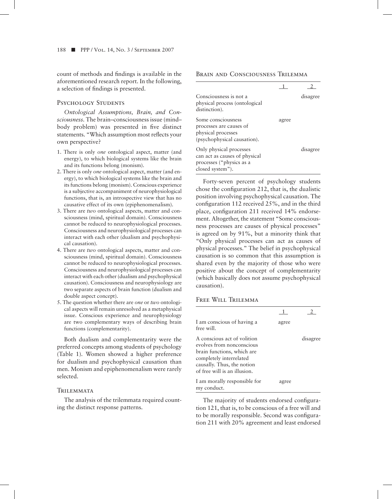count of methods and findings is available in the aforementioned research report. In the following, a selection of findings is presented.

#### PSYCHOLOGY STUDENTS

*Ontological Assumptions, Brain, and Consciousness.* The brain–consciousness issue (mind– body problem) was presented in five distinct statements. "Which assumption most reflects your own perspective?

- 1. There is only *one* ontological aspect, matter (and energy), to which biological systems like the brain and its functions belong (monism).
- 2. There is only *one* ontological aspect, matter (and energy), to which biological systems like the brain and its functions belong (monism). Conscious experience is a subjective accompaniment of neurophysiological functions, that is, an introspective view that has no causative effect of its own (epiphenomenalism).
- 3. There are *two* ontological aspects, matter and consciousness (mind, spiritual domain). Consciousness cannot be reduced to neurophysiological processes. Consciousness and neurophysiological processes can interact with each other (dualism and psychophysical causation).
- 4. There are *two* ontological aspects, matter and consciousness (mind, spiritual domain). Consciousness cannot be reduced to neurophysiological processes. Consciousness and neurophysiological processes can interact with each other (dualism and psychophysical causation). Consciousness and neurophysiology are two separate aspects of brain function (dualism and double aspect concept).
- 5. The question whether there are *one* or *two* ontological aspects will remain unresolved as a metaphysical issue. Conscious experience and neurophysiology are two complementary ways of describing brain functions (complementarity).

Both dualism and complementarity were the preferred concepts among students of psychology (Table 1). Women showed a higher preference for dualism and psychophysical causation than men. Monism and epiphenomenalism were rarely selected.

### **TRILEMMATA**

The analysis of the trilemmata required counting the distinct response patterns.

#### Brain and Consciousness Trilemma

| Consciousness is not a<br>physical process (ontological<br>distinction).                                 |       | disagree |
|----------------------------------------------------------------------------------------------------------|-------|----------|
| Some consciousness<br>processes are causes of<br>physical processes<br>(psychophysical causation).       | agree |          |
| Only physical processes<br>can act as causes of physical<br>processes ("physics as a<br>closed system"). |       | disagree |

Forty-seven percent of psychology students chose the configuration 212, that is, the dualistic position involving psychophysical causation. The configuration 112 received 25%, and in the third place, configuration 211 received 14% endorsement. Altogether, the statement "Some consciousness processes are causes of physical processes" is agreed on by 91%, but a minority think that "Only physical processes can act as causes of physical processes." The belief in psychophysical causation is so common that this assumption is shared even by the majority of those who were positive about the concept of complementarity (which basically does not assume psychophysical causation).

#### Free Will Trilemma

| I am conscious of having a<br>free will.                                                                                                                                        | agree |          |
|---------------------------------------------------------------------------------------------------------------------------------------------------------------------------------|-------|----------|
| A conscious act of volition<br>evolves from nonconscious<br>brain functions, which are<br>completely interrelated<br>causally. Thus, the notion<br>of free will is an illusion. |       | disagree |
| I am morally responsible for<br>my conduct.                                                                                                                                     | agree |          |

The majority of students endorsed configuration 121, that is, to be conscious of a free will and to be morally responsible. Second was configuration 211 with 20% agreement and least endorsed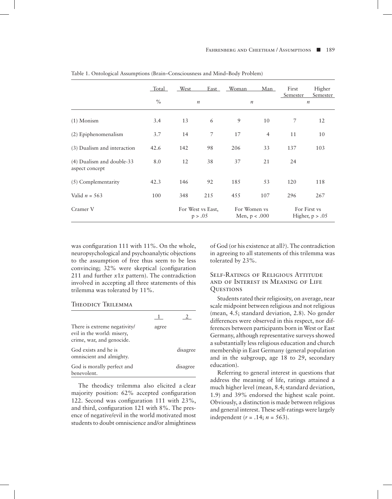|                                             | Total<br>$\%$ | West | East<br>$\boldsymbol{n}$     | Woman | Man<br>$\boldsymbol{n}$         | First<br>Semester | Higher<br>Semester<br>$\boldsymbol{n}$ |
|---------------------------------------------|---------------|------|------------------------------|-------|---------------------------------|-------------------|----------------------------------------|
| $(1)$ Monism                                | 3.4           | 13   | 6                            | 9     | 10                              | 7                 | 12                                     |
| (2) Epiphenomenalism                        | 3.7           | 14   | 7                            | 17    | $\overline{4}$                  | 11                | 10                                     |
| (3) Dualism and interaction                 | 42.6          | 142  | 98                           | 206   | 33                              | 137               | 103                                    |
| (4) Dualism and double-33<br>aspect concept | 8.0           | 12   | 38                           | 37    | 21                              | 24                |                                        |
| (5) Complementarity                         | 42.3          | 146  | 92                           | 185   | 53                              | 120               | 118                                    |
| Valid $n = 563$                             | 100           | 348  | 215                          | 455   | 107                             | 296               | 267                                    |
| Cramer V                                    |               |      | For West vs East,<br>p > .05 |       | For Women vs<br>Men, $p < .000$ |                   | For First vs<br>Higher, $p > .05$      |

Table 1. Ontological Assumptions (Brain–Consciousness and Mind–Body Problem)

was configuration 111 with 11%. On the whole, neuropsychological and psychoanalytic objections to the assumption of free thus seem to be less convincing; 32% were skeptical (configuration 211 and further *x*1*x* pattern). The contradiction involved in accepting all three statements of this trilemma was tolerated by 11%.

#### Theodicy Trilemma

|                                                                                         | -1    |          |
|-----------------------------------------------------------------------------------------|-------|----------|
| There is extreme negativity/<br>evil in the world: misery,<br>crime, war, and genocide. | agree |          |
| God exists and he is<br>omniscient and almighty.                                        |       | disagree |
| God is morally perfect and<br>benevolent.                                               |       | disagree |

The theodicy trilemma also elicited a clear majority position: 62% accepted configuration 122. Second was configuration 111 with 23%, and third, configuration 121 with 8%. The presence of negative/evil in the world motivated most students to doubt omniscience and/or almightiness

of God (or his existence at all?). The contradiction in agreeing to all statements of this trilemma was tolerated by 23%.

## SELF-RATINGS OF RELIGIOUS ATTITUDE and of Interest in Meaning of Life **QUESTIONS**

Students rated their religiosity, on average, near scale midpoint between religious and not religious (mean, 4.5; standard deviation, 2.8). No gender differences were observed in this respect, nor differences between participants born in West or East Germany, although representative surveys showed a substantially less religious education and church membership in East Germany (general population and in the subgroup, age 18 to 29, secondary education).

Referring to general interest in questions that address the meaning of life, ratings attained a much higher level (mean, 8.4; standard deviation, 1.9) and 39% endorsed the highest scale point. Obviously, a distinction is made between religious and general interest. These self-ratings were largely independent  $(r = .14; n = 563)$ .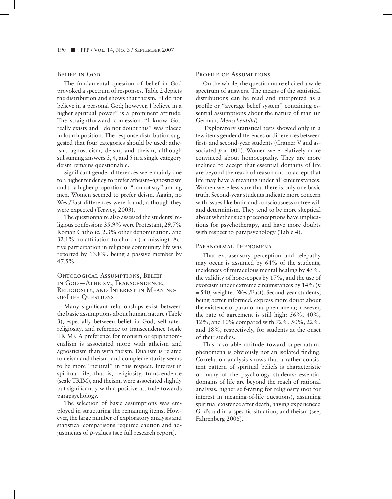#### BELIEF IN GOD

The fundamental question of belief in God provoked a spectrum of responses. Table 2 depicts the distribution and shows that theism, "I do not believe in a personal God; however, I believe in a higher spiritual power" is a prominent attitude. The straightforward confession "I know God really exists and I do not doubt this" was placed in fourth position. The response distribution suggested that four categories should be used: atheism, agnosticism, deism, and theism, although subsuming answers 3, 4, and 5 in a single category deism remains questionable.

Significant gender differences were mainly due to a higher tendency to prefer atheism–agnosticism and to a higher proportion of "cannot say" among men. Women seemed to prefer deism. Again, no West/East differences were found, although they were expected (Terwey, 2003).

The questionnaire also assessed the students' religious confession: 35.9% were Protestant, 29.7% Roman Catholic, 2.3% other denomination, and 32.1% no affiliation to church (or missing). Active participation in religious community life was reported by 13.8%, being a passive member by 47.5%.

### Ontological Assumptions, Belief in God—Atheism, Transcendence, Religiosity, and Interest in Meaningof-Life Questions

Many significant relationships exist between the basic assumptions about human nature (Table 3), especially between belief in God, self-rated religiosity, and reference to transcendence (scale TRIM). A preference for monism or epiphenomenalism is associated more with atheism and agnosticism than with theism. Dualism is related to deism and theism, and complementarity seems to be more "neutral" in this respect. Interest in spiritual life, that is, religiosity, transcendence (scale TRIM), and theism, were associated slightly but significantly with a positive attitude towards parapsychology.

The selection of basic assumptions was employed in structuring the remaining items. However, the large number of exploratory analysis and statistical comparisons required caution and adjustments of *p*-values (see full research report).

#### PROFILE OF ASSUMPTIONS

On the whole, the questionnaire elicited a wide spectrum of answers. The means of the statistical distributions can be read and interpreted as a profile or "average belief system" containing essential assumptions about the nature of man (in German, *Menschenbild*)

Exploratory statistical tests showed only in a few items gender differences or differences between first- and second-year students (Cramer V and associated  $p < .001$ ). Women were relatively more convinced about homoeopathy. They are more inclined to accept that essential domains of life are beyond the reach of reason and to accept that life may have a meaning under all circumstances. Women were less sure that there is only one basic truth. Second-year students indicate more concern with issues like brain and consciousness or free will and determinism. They tend to be more skeptical about whether such preconceptions have implications for psychotherapy, and have more doubts with respect to parapsychology (Table 4).

#### Paranormal Phenomena

That extrasensory perception and telepathy may occur is assumed by 64% of the students, incidences of miraculous mental healing by 45%, the validity of horoscopes by 17%, and the use of exorcism under extreme circumstances by 14% (*n* = 540, weighted West/East). Second-year students, being better informed, express more doubt about the existence of paranormal phenomena; however, the rate of agreement is still high: 56%, 40%, 12%, and 10% compared with 72%, 50%, 22%, and 18%, respectively, for students at the onset of their studies.

This favorable attitude toward supernatural phenomena is obviously not an isolated finding. Correlation analysis shows that a rather consistent pattern of spiritual beliefs is characteristic of many of the psychology students: essential domains of life are beyond the reach of rational analysis, higher self-rating for religiosity (not for interest in meaning-of-life questions), assuming spiritual existence after death, having experienced God's aid in a specific situation, and theism (see, Fahrenberg 2006).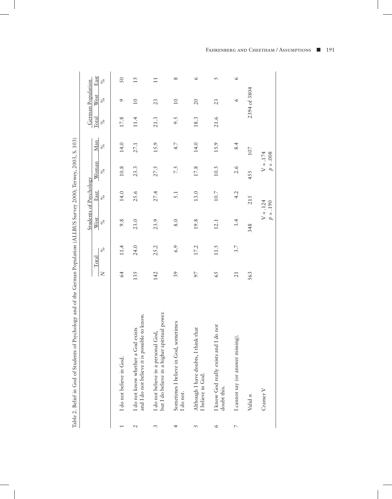|                |                                                                                      |                         |              |      | <b>Students of Psychology</b> |                          |                  |              | German Population |                  |
|----------------|--------------------------------------------------------------------------------------|-------------------------|--------------|------|-------------------------------|--------------------------|------------------|--------------|-------------------|------------------|
|                |                                                                                      |                         | <b>Total</b> | West | East                          | Woman                    | Man              | <b>Total</b> | West              | East             |
|                |                                                                                      | $\overline{\mathsf{X}}$ | $\%$         | $\%$ | $\%$                          | $\%$                     | $\delta_{\rm O}$ | $\%$         | $\delta_{\rm O}$  | $\delta_{\rm O}$ |
|                | I do not believe in God.                                                             | 64                      | 11.4         | 9.8  | 14.0                          | 10.8                     | $14.0$           | $17.8\,$     | $\sigma$          | 50               |
| $\mathcal{L}$  | and I do not believe it is possible to know.<br>I do not know whether a God exists   | 135                     | 24.0         | 23.0 | 25.6                          | 23.3                     | 27.1             | 11.4         | 10                | 15               |
| 3              | but I do believe in a higher spiritual power.<br>I do not believe in a personal God, | 142                     | 25.2         | 23.9 | 27.4                          | 27.5                     | 15.9             | 21.3         | 23                | $\overline{1}$   |
| 4              | Sometimes I believe in God, sometimes<br>I do not.                                   | 39                      | 6.9          | 8.0  | 5.1                           | 7.5                      | 4.7              | 9.5          | $\overline{10}$   | $^{\circ}$       |
| 5              | Although I have doubts, I think that<br>I believe in God.                            | 97                      | 17.2         | 19.8 | 13.0                          | 17.8                     | 14.0             | 18.3         | 20                | $\circ$          |
| $\circ$        | I know God really exists and I do not<br>doubt this.                                 | 65                      | 11.5         | 12.1 | $10.7\,$                      | 10.5                     | 15.9             | 21.6         | 23                | 5                |
| $\overline{a}$ | I cannot say (or answer missing).                                                    | $\overline{21}$         | 3.7          | 3.4  | 4.2                           | 2.6                      | 8.4              |              | $\circ$           | $\circ$          |
|                | Valid <i>n</i>                                                                       | 563                     |              | 348  | 215                           | 455                      | 107              |              | 2394 of 3804      |                  |
|                | Cramer V                                                                             |                         |              |      | $V = .124$<br>$p = .190$      | $V = .174$<br>$p = .008$ |                  |              |                   |                  |
|                |                                                                                      |                         |              |      |                               |                          |                  |              |                   |                  |

Table 2. Belief in God of Students of Psychology and of the German Population (ALLBUS Survey 2000; Terwey, 2003, S. 103) Table 2. Belief in God of Students of Psychology and of the German Population (ALLBUS Survey 2000; Terwey, 2003, S. 103)

 $\overline{\phantom{a}}$ 

Fahrenberg and Cheetham / Assumptions ■ 191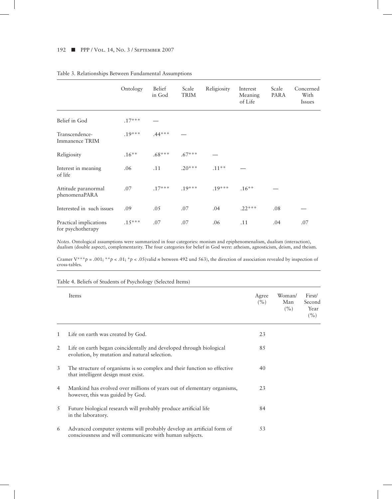|                                             | Ontology | Belief<br>in God | Scale<br><b>TRIM</b> | Religiosity | Interest<br>Meaning<br>of Life | Scale<br><b>PARA</b> | Concerned<br>With<br><b>Issues</b> |
|---------------------------------------------|----------|------------------|----------------------|-------------|--------------------------------|----------------------|------------------------------------|
| Belief in God                               | $.17***$ |                  |                      |             |                                |                      |                                    |
| Transcendence-<br>Immanence TRIM            | $.19***$ | $.44***$         |                      |             |                                |                      |                                    |
| Religiosity                                 | $.16***$ | $.68***$         | $.67***$             |             |                                |                      |                                    |
| Interest in meaning<br>of life              | .06      | .11              | $.20***$             | $.11***$    |                                |                      |                                    |
| Attitude paranormal<br>phenomenaPARA        | .07      | $.17***$         | $.19***$             | $.19***$    | $.16***$                       |                      |                                    |
| Interested in such issues                   | .09      | .05              | .07                  | .04         | $.22***$                       | .08                  |                                    |
| Practical implications<br>for psychotherapy | $.15***$ | .07              | .07                  | .06         | .11                            | .04                  | .07                                |

#### Table 3. Relationships Between Fundamental Assumptions

*Notes*. Ontological assumptions were summarized in four categories: monism and epiphenomenalism, dualism (interaction), dualism (double aspect), complementarity. The four categories for belief in God were: atheism, agnosticism, deism, and theism.

Cramer V\*\*\**p* = .001; \*\**p* < .01; \**p* < .05(valid *n* between 492 und 563), the direction of association revealed by inspection of cross-tables.

#### Table 4. Beliefs of Students of Psychology (Selected Items)

|                | Items                                                                                                                            | Agree<br>$($ %) | Woman/<br>Man<br>(%) | First/<br>Second<br>Year<br>(%) |
|----------------|----------------------------------------------------------------------------------------------------------------------------------|-----------------|----------------------|---------------------------------|
| 1              | Life on earth was created by God.                                                                                                | 23              |                      |                                 |
| 2              | Life on earth began coincidentally and developed through biological<br>evolution, by mutation and natural selection.             | 85              |                      |                                 |
| 3              | The structure of organisms is so complex and their function so effective<br>that intelligent design must exist.                  | 40              |                      |                                 |
| $\overline{4}$ | Mankind has evolved over millions of years out of elementary organisms,<br>however, this was guided by God.                      | 23              |                      |                                 |
| 5              | Future biological research will probably produce artificial life<br>in the laboratory.                                           | 84              |                      |                                 |
| 6              | Advanced computer systems will probably develop an artificial form of<br>consciousness and will communicate with human subjects. | 53              |                      |                                 |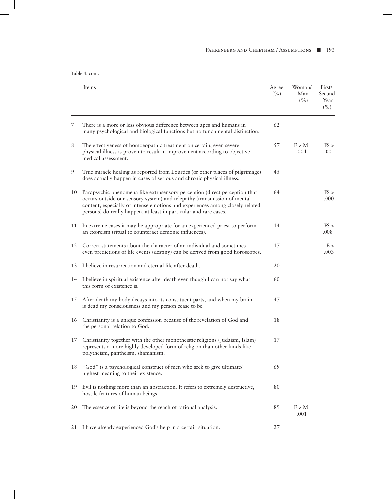| Table 4, cont. |  |  |
|----------------|--|--|
|----------------|--|--|

|    | Items                                                                                                                                                                                                                                                                                                        | Agree<br>(% ) | Woman/<br>Man<br>(%) | First/<br>Second<br>Year<br>(%) |
|----|--------------------------------------------------------------------------------------------------------------------------------------------------------------------------------------------------------------------------------------------------------------------------------------------------------------|---------------|----------------------|---------------------------------|
| 7  | There is a more or less obvious difference between apes and humans in<br>many psychological and biological functions but no fundamental distinction.                                                                                                                                                         | 62            |                      |                                 |
| 8  | The effectiveness of homoeopathic treatment on certain, even severe<br>physical illness is proven to result in improvement according to objective<br>medical assessment.                                                                                                                                     | 57            | F > M<br>.004        | FS ><br>.001                    |
| 9  | True miracle healing as reported from Lourdes (or other places of pilgrimage)<br>does actually happen in cases of serious and chronic physical illness.                                                                                                                                                      | 45            |                      |                                 |
| 10 | Parapsychic phenomena like extrasensory perception (direct perception that<br>occurs outside our sensory system) and telepathy (transmission of mental<br>content, especially of intense emotions and experiences among closely related<br>persons) do really happen, at least in particular and rare cases. | 64            |                      | FS ><br>.000                    |
| 11 | In extreme cases it may be appropriate for an experienced priest to perform<br>an exorcism (ritual to counteract demonic influences).                                                                                                                                                                        | 14            |                      | FS ><br>.008                    |
| 12 | Correct statements about the character of an individual and sometimes<br>even predictions of life events (destiny) can be derived from good horoscopes.                                                                                                                                                      | 17            |                      | E ><br>.003                     |
| 13 | I believe in resurrection and eternal life after death.                                                                                                                                                                                                                                                      | 20            |                      |                                 |
| 14 | I believe in spiritual existence after death even though I can not say what<br>this form of existence is.                                                                                                                                                                                                    | 60            |                      |                                 |
| 15 | After death my body decays into its constituent parts, and when my brain<br>is dead my consciousness and my person cease to be.                                                                                                                                                                              | 47            |                      |                                 |
| 16 | Christianity is a unique confession because of the revelation of God and<br>the personal relation to God.                                                                                                                                                                                                    | 18            |                      |                                 |
| 17 | Christianity together with the other monotheistic religions (Judaism, Islam)<br>represents a more highly developed form of religion than other kinds like<br>polytheism, pantheism, shamanism.                                                                                                               | 17            |                      |                                 |
| 18 | "God" is a psychological construct of men who seek to give ultimate/<br>highest meaning to their existence.                                                                                                                                                                                                  | 69            |                      |                                 |
| 19 | Evil is nothing more than an abstraction. It refers to extremely destructive,<br>hostile features of human beings.                                                                                                                                                                                           | 80            |                      |                                 |
| 20 | The essence of life is beyond the reach of rational analysis.                                                                                                                                                                                                                                                | 89            | F > M<br>.001        |                                 |
|    | 21 I have already experienced God's help in a certain situation.                                                                                                                                                                                                                                             | 27            |                      |                                 |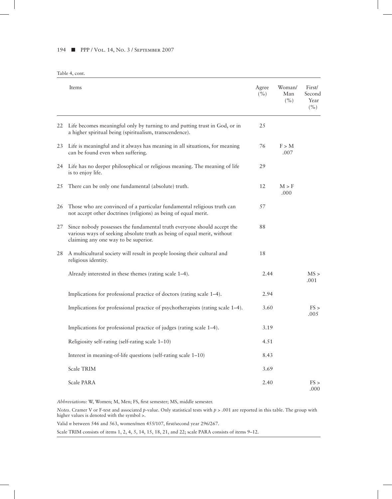#### 194 ■ PPP / Vol. 14, No. 3 / September 2007

Table 4, cont.

|    | Items                                                                                                                                                                                      | Agree<br>(%) | Woman/<br>Man<br>(%) | First/<br>Second<br>Year<br>(%) |
|----|--------------------------------------------------------------------------------------------------------------------------------------------------------------------------------------------|--------------|----------------------|---------------------------------|
| 22 | Life becomes meaningful only by turning to and putting trust in God, or in<br>a higher spiritual being (spiritualism, transcendence).                                                      | 25           |                      |                                 |
| 23 | Life is meaningful and it always has meaning in all situations, for meaning<br>can be found even when suffering.                                                                           | 76           | F > M<br>.007        |                                 |
| 24 | Life has no deeper philosophical or religious meaning. The meaning of life<br>is to enjoy life.                                                                                            | 29           |                      |                                 |
| 25 | There can be only one fundamental (absolute) truth.                                                                                                                                        | 12           | M > F<br>.000        |                                 |
| 26 | Those who are convinced of a particular fundamental religious truth can<br>not accept other doctrines (religions) as being of equal merit.                                                 | 57           |                      |                                 |
| 27 | Since nobody possesses the fundamental truth everyone should accept the<br>various ways of seeking absolute truth as being of equal merit, without<br>claiming any one way to be superior. | 88           |                      |                                 |
| 28 | A multicultural society will result in people loosing their cultural and<br>religious identity.                                                                                            | 18           |                      |                                 |
|    | Already interested in these themes (rating scale 1–4).                                                                                                                                     | 2.44         |                      | MS ><br>.001                    |
|    | Implications for professional practice of doctors (rating scale 1–4).                                                                                                                      | 2.94         |                      |                                 |
|    | Implications for professional practice of psychotherapists (rating scale 1–4).                                                                                                             | 3.60         |                      | FS ><br>.005                    |
|    | Implications for professional practice of judges (rating scale 1–4).                                                                                                                       | 3.19         |                      |                                 |
|    | Religiosity self-rating (self-rating scale $1-10$ )                                                                                                                                        | 4.51         |                      |                                 |
|    | Interest in meaning-of-life questions (self-rating scale 1–10)                                                                                                                             | 8.43         |                      |                                 |
|    | Scale TRIM                                                                                                                                                                                 | 3.69         |                      |                                 |
|    | Scale PARA                                                                                                                                                                                 | 2.40         |                      | FS ><br>.000                    |

*Abbreviations:* W, Women; M, Men; FS, first semester; MS, middle semester.

*Notes*. Cramer V or F-test and associated *p*-value. Only statistical tests with *p* > .001 are reported in this table. The group with higher values is denoted with the symbol >.

Valid *n* between 546 and 563, women/men 455/107, first/second year 296/267.

Scale TRIM consists of items 1, 2, 4, 5, 14, 15, 18, 21, and 22; scale PARA consists of items 9–12.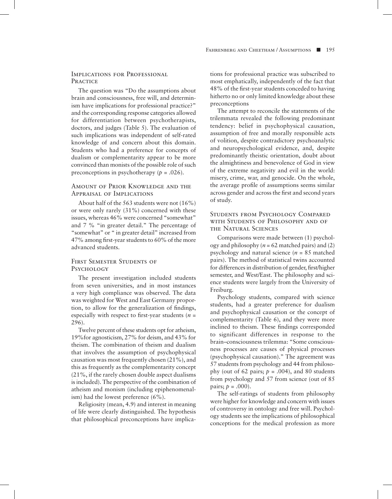### Implications for Professional **PRACTICE**

The question was "Do the assumptions about brain and consciousness, free will, and determinism have implications for professional practice?" and the corresponding response categories allowed for differentiation between psychotherapists, doctors, and judges (Table 5). The evaluation of such implications was independent of self-rated knowledge of and concern about this domain. Students who had a preference for concepts of dualism or complementarity appear to be more convinced than monists of the possible role of such preconceptions in psychotherapy  $(p = .026)$ .

#### Amount of Prior Knowledge and the Appraisal of Implications

About half of the 563 students were not (16%) or were only rarely (31%) concerned with these issues, whereas 46% were concerned "somewhat" and 7 % "in greater detail." The percentage of "somewhat" or " in greater detail" increased from 47% among first-year students to 60% of the more advanced students.

## First Semester Students of **PSYCHOLOGY**

The present investigation included students from seven universities, and in most instances a very high compliance was observed. The data was weighted for West and East Germany proportion, to allow for the generalization of findings, especially with respect to first-year students ( $n =$ 296).

Twelve percent of these students opt for atheism, 19%for agnosticism, 27% for deism, and 43% for theism. The combination of theism and dualism that involves the assumption of psychophysical causation was most frequently chosen (21%), and this as frequently as the complementarity concept (21%, if the rarely chosen double aspect dualisms is included). The perspective of the combination of atheism and monism (including epiphenomenalism) had the lowest preference (6%).

Religiosity (mean, 4.9) and interest in meaning of life were clearly distinguished. The hypothesis that philosophical preconceptions have implica-

tions for professional practice was subscribed to most emphatically, independently of the fact that 48% of the first-year students conceded to having hitherto no or only limited knowledge about these preconceptions

The attempt to reconcile the statements of the trilemmata revealed the following predominant tendency: belief in psychophysical causation, assumption of free and morally responsible acts of volition, despite contradictory psychoanalytic and neuropsychological evidence, and, despite predominantly theistic orientation, doubt about the almightiness and benevolence of God in view of the extreme negativity and evil in the world: misery, crime, war, and genocide. On the whole, the average profile of assumptions seems similar across gender and across the first and second years of study.

#### Students from Psychology Compared with Students of Philosophy and of the Natural Sciences

Comparisons were made between (1) psychology and philosophy ( $n = 62$  matched pairs) and (2) psychology and natural science ( $n = 85$  matched pairs). The method of statistical twins accounted for differences in distribution of gender, first/higher semester, and West/East. The philosophy and science students were largely from the University of Freiburg.

Psychology students, compared with science students, had a greater preference for dualism and psychophysical causation or the concept of complementarity (Table 6), and they were more inclined to theism. These findings corresponded to significant differences in response to the brain–consciousness trilemma: "Some consciousness processes are causes of physical processes (psychophysical causation)." The agreement was 57 students from psychology and 44 from philosophy (out of 62 pairs;  $p = .004$ ), and 80 students from psychology and 57 from science (out of 85 pairs;  $p = .000$ ).

The self-ratings of students from philosophy were higher for knowledge and concern with issues of controversy in ontology and free will. Psychology students see the implications of philosophical conceptions for the medical profession as more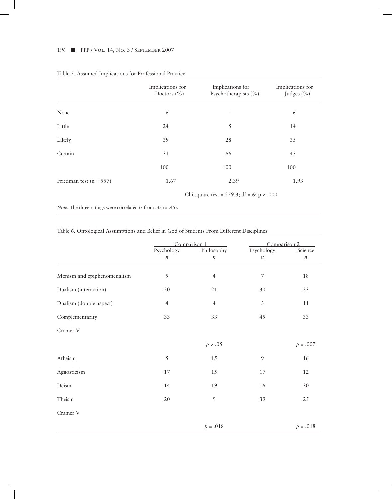# 196 ■ PPP / Vol. 14, No. 3 / September 2007

|                                              | Implications for<br>Doctors $(\% )$ | Implications for<br>Psychotherapists (%) | Implications for<br>Judges (%) |  |
|----------------------------------------------|-------------------------------------|------------------------------------------|--------------------------------|--|
| None                                         | 6                                   | $\mathbf{1}$                             | 6                              |  |
| Little                                       | 24                                  | 5                                        | 14                             |  |
| Likely                                       | 39                                  | 28                                       | 35                             |  |
| Certain                                      | 31                                  | 66                                       | 45                             |  |
|                                              | 100                                 | 100                                      | 100                            |  |
| Friedman test ( $n = 557$ )                  | 1.67                                | 2.39                                     | 1.93                           |  |
| Chi square test = $259.3$ ; df = 6; p < .000 |                                     |                                          |                                |  |

# Table 5. Assumed Implications for Professional Practice

*Note*. The three ratings were correlated (*r* from .33 to .45).

## Table 6. Ontological Assumptions and Belief in God of Students From Different Disciplines

|                             | Comparison 1   |                | Comparison 2   |            |
|-----------------------------|----------------|----------------|----------------|------------|
|                             | Psychology     | Philosophy     | Psychology     | Science    |
|                             | $\it n$        | $\it n$        | $\it n$        | $\it n$    |
| Monism and epiphenomenalism | 5              | $\overline{4}$ | $\overline{7}$ | 18         |
| Dualism (interaction)       | 20             | 21             | 30             | 23         |
| Dualism (double aspect)     | $\overline{4}$ | $\overline{4}$ | 3              | 11         |
| Complementarity             | 33             | 33             | 45             | 33         |
| Cramer V                    |                |                |                |            |
|                             |                | p > .05        |                | $p = .007$ |
| Atheism                     | 5              | 15             | 9              | 16         |
| Agnosticism                 | $17\,$         | 15             | 17             | 12         |
| Deism                       | 14             | 19             | 16             | 30         |
| Theism                      | 20             | 9              | 39             | 25         |
| Cramer V                    |                |                |                |            |
|                             |                | $p = .018$     |                | $p = .018$ |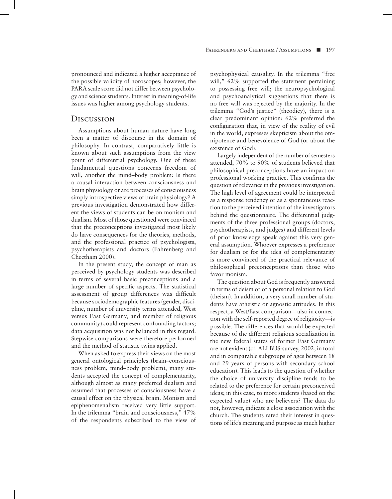pronounced and indicated a higher acceptance of the possible validity of horoscopes; however, the PARA scale score did not differ between psychology and science students. Interest in meaning-of-life issues was higher among psychology students.

## Discussion

Assumptions about human nature have long been a matter of discourse in the domain of philosophy. In contrast, comparatively little is known about such assumptions from the view point of differential psychology. One of these fundamental questions concerns freedom of will, another the mind–body problem: Is there a causal interaction between consciousness and brain physiology or are processes of consciousness simply introspective views of brain physiology? A previous investigation demonstrated how different the views of students can be on monism and dualism. Most of those questioned were convinced that the preconceptions investigated most likely do have consequences for the theories, methods, and the professional practice of psychologists, psychotherapists and doctors (Fahrenberg and Cheetham 2000).

In the present study, the concept of man as perceived by psychology students was described in terms of several basic preconceptions and a large number of specific aspects. The statistical assessment of group differences was difficult because sociodemographic features (gender, discipline, number of university terms attended, West versus East Germany, and member of religious community) could represent confounding factors; data acquisition was not balanced in this regard. Stepwise comparisons were therefore performed and the method of statistic twins applied.

When asked to express their views on the most general ontological principles (brain–consciousness problem, mind–body problem), many students accepted the concept of complementarity, although almost as many preferred dualism and assumed that processes of consciousness have a causal effect on the physical brain. Monism and epiphenomenalism received very little support. In the trilemma "brain and consciousness," 47% of the respondents subscribed to the view of

psychophysical causality. In the trilemma "free will,"  $62\%$  supported the statement pertaining to possessing free will; the neuropsychological and psychoanalytical suggestions that there is no free will was rejected by the majority. In the trilemma "God's justice" (theodicy), there is a clear predominant opinion: 62% preferred the configuration that, in view of the reality of evil in the world, expresses skepticism about the omnipotence and benevolence of God (or about the existence of God).

Largely independent of the number of semesters attended, 70% to 90% of students believed that philosophical preconceptions have an impact on professional working practice. This confirms the question of relevance in the previous investigation. The high level of agreement could be interpreted as a response tendency or as a spontaneous reaction to the perceived intention of the investigators behind the questionnaire. The differential judgments of the three professional groups (doctors, psychotherapists, and judges) and different levels of prior knowledge speak against this very general assumption. Whoever expresses a preference for dualism or for the idea of complementarity is more convinced of the practical relevance of philosophical preconceptions than those who favor monism.

The question about God is frequently answered in terms of deism or of a personal relation to God (theism). In addition, a very small number of students have atheistic or agnostic attitudes. In this respect, a West/East comparison—also in connection with the self-reported degree of religiosity—is possible. The differences that would be expected because of the different religious socialization in the new federal states of former East Germany are not evident (cf. ALLBUS-survey, 2002, in total and in comparable subgroups of ages between 18 and 29 years of persons with secondary school education). This leads to the question of whether the choice of university discipline tends to be related to the preference for certain preconceived ideas; in this case, to more students (based on the expected value) who are believers? The data do not, however, indicate a close association with the church. The students rated their interest in questions of life's meaning and purpose as much higher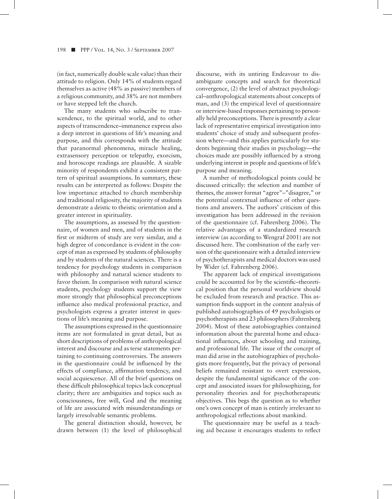(in fact, numerically double scale value) than their attitude to religion. Only 14% of students regard themselves as active (48% as passive) members of a religious community, and 38% are not members or have stepped left the church.

The many students who subscribe to transcendence, to the spiritual world, and to other aspects of transcendence–immanence express also a deep interest in questions of life's meaning and purpose, and this corresponds with the attitude that paranormal phenomena, miracle healing, extrasensory perception or telepathy, exorcism, and horoscope readings are plausible. A sizable minority of respondents exhibit a consistent pattern of spiritual assumptions. In summary, these results can be interpreted as follows: Despite the low importance attached to church membership and traditional religiosity, the majority of students demonstrate a deistic to theistic orientation and a greater interest in spirituality.

The assumptions, as assessed by the questionnaire, of women and men, and of students in the first or midterm of study are very similar, and a high degree of concordance is evident in the concept of man as expressed by students of philosophy and by students of the natural sciences. There is a tendency for psychology students in comparison with philosophy and natural science students to favor theism. In comparison with natural science students, psychology students support the view more strongly that philosophical preconceptions influence also medical professional practice, and psychologists express a greater interest in questions of life's meaning and purpose.

The assumptions expressed in the questionnaire items are not formulated in great detail, but as short descriptions of problems of anthropological interest and discourse and as terse statements pertaining to continuing controversies. The answers in the questionnaire could be influenced by the effects of compliance, affirmation tendency, and social acquiescence. All of the brief questions on these difficult philosophical topics lack conceptual clarity; there are ambiguities and topics such as consciousness, free will, God and the meaning of life are associated with misunderstandings or largely irresolvable semantic problems.

The general distinction should, however, be drawn between (1) the level of philosophical discourse, with its untiring Endeavour to disambiguate concepts and search for theoretical convergence, (2) the level of abstract psychological–anthropological statements about concepts of man, and (3) the empirical level of questionnaire or interview-based responses pertaining to personally held preconceptions. There is presently a clear lack of representative empirical investigation into students' choice of study and subsequent profession where—and this applies particularly for students beginning their studies in psychology—the choices made are possibly influenced by a strong underlying interest in people and questions of life's purpose and meaning.

A number of methodological points could be discussed critically: the selection and number of themes, the answer format "agree"–"disagree," or the potential contextual influence of other questions and answers. The authors' criticism of this investigation has been addressed in the revision of the questionnaire (cf. Fahrenberg 2006). The relative advantages of a standardized research interview (as according to Wengraf 2001) are not discussed here. The combination of the early version of the questionnaire with a detailed interview of psychotherapists and medical doctors was used by Wider (cf. Fahrenberg 2006).

The apparent lack of empirical investigations could be accounted for by the scientific–theoretical position that the personal worldview should be excluded from research and practice. This assumption finds support in the content analysis of published autobiographies of 49 psychologists or psychotherapists and 23 philosophers (Fahrenberg 2004). Most of these autobiographies contained information about the parental home and educational influences, about schooling and training, and professional life. The issue of the concept of man did arise in the autobiographies of psychologists more frequently, but the privacy of personal beliefs remained resistant to overt expression, despite the fundamental significance of the concept and associated issues for philosophizing, for personality theories and for psychotherapeutic objectives. This begs the question as to whether one's own concept of man is entirely irrelevant to anthropological reflections about mankind.

The questionnaire may be useful as a teaching aid because it encourages students to reflect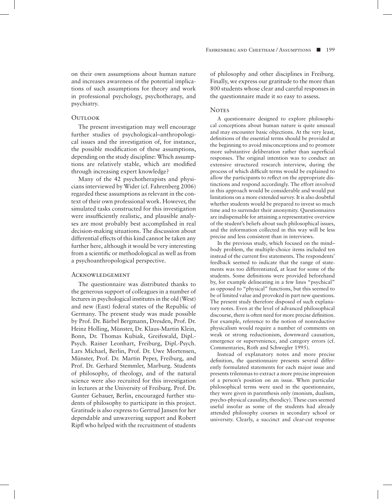on their own assumptions about human nature and increases awareness of the potential implications of such assumptions for theory and work in professional psychology, psychotherapy, and psychiatry.

#### **OUTLOOK**

The present investigation may well encourage further studies of psychological–anthropological issues and the investigation of, for instance, the possible modification of these assumptions, depending on the study discipline: Which assumptions are relatively stable, which are modified through increasing expert knowledge?

Many of the 42 psychotherapists and physicians interviewed by Wider (cf. Fahrenberg 2006) regarded these assumptions as relevant in the context of their own professional work. However, the simulated tasks constructed for this investigation were insufficiently realistic, and plausible analyses are most probably best accomplished in real decision-making situations. The discussion about differential effects of this kind cannot be taken any further here, although it would be very interesting from a scientific or methodological as well as from a psychoanthropological perspective.

#### Acknowledgement

The questionnaire was distributed thanks to the generous support of colleagues in a number of lectures in psychological institutes in the old (West) and new (East) federal states of the Republic of Germany. The present study was made possible by Prof. Dr. Bärbel Bergmann, Dresden, Prof. Dr. Heinz Holling, Münster, Dr. Klaus-Martin Klein, Bonn, Dr. Thomas Kubiak, Greifswald, Dipl.- Psych. Rainer Leonhart, Freiburg, Dipl.-Psych. Lars Michael, Berlin, Prof. Dr. Uwe Mortensen, Münster, Prof. Dr. Martin Peper, Freiburg, and Prof. Dr. Gerhard Stemmler, Marburg. Students of philosophy, of theology, and of the natural science were also recruited for this investigation in lectures at the University of Freiburg. Prof. Dr. Gunter Gebauer, Berlin, encouraged further students of philosophy to participate in this project. Gratitude is also express to Gertrud Jansen for her dependable and unwavering support and Robert Ripfl who helped with the recruitment of students of philosophy and other disciplines in Freiburg. Finally, we express our gratitude to the more than 800 students whose clear and careful responses in the questionnaire made it so easy to assess.

#### **NOTES**

A questionnaire designed to explore philosophical conceptions about human nature is quite unusual and may encounter basic objections. At the very least, definitions of the essential terms should be provided at the beginning to avoid misconceptions and to promote more substantive deliberation rather than superficial responses. The original intention was to conduct an extensive structured research interview, during the process of which difficult terms would be explained to allow the participants to reflect on the appropriate distinctions and respond accordingly. The effort involved in this approach would be considerable and would put limitations on a more extended survey. It is also doubtful whether students would be prepared to invest so much time and to surrender their anonymity. Questionnaires are indispensable for attaining a representative overview of the student's beliefs about such philosophical issues, and the information collected in this way will be less precise and less consistent than in interviews.

In the previous study, which focused on the mind– body problem, the multiple-choice items included ten instead of the current five statements. The respondents' feedback seemed to indicate that the range of statements was too differentiated, at least for some of the students. Some definitions were provided beforehand by, for example delineating in a few lines "psychical" as opposed to "physical" functions, but this seemed to be of limited value and provoked in part new questions. The present study therefore disposed of such explanatory notes. Even at the level of advanced philosophical discourse, there is often need for more precise definition. For example, reference to the notion of nonreductive physicalism would require a number of comments on weak or strong reductionism, downward causation, emergence or supervenience, and category errors (cf. Commentaries, Roth and Schwegler 1995).

Instead of explanatory notes and more precise definition, the questionnaire presents several differently formulated statements for each major issue and presents trilemmas to extract a more precise impression of a person's position on an issue. When particular philosophical terms were used in the questionnaire, they were given in parenthesis only (monism, dualism, psycho-physical causality, theodicy). These cues seemed useful insofar as some of the students had already attended philosophy courses in secondary school or university. Clearly, a succinct and clear-cut response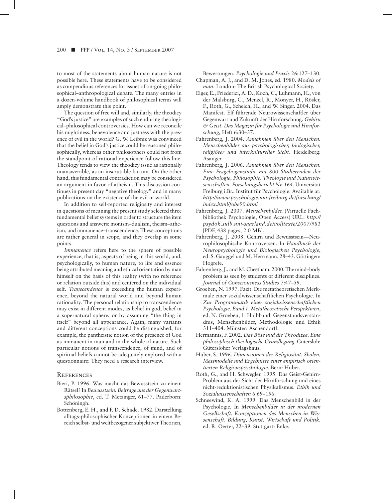to most of the statements about human nature is not possible here. These statements have to be considered as compendious references for issues of on-going philosophical–anthropological debate. The many entries in a dozen-volume handbook of philosophical terms will amply demonstrate this point.

The question of free will and, similarly, the theodicy "God's justice" are examples of such enduring theological–philosophical controversies. How can we reconcile his mightiness, benevolence and justness with the presence of evil in the world? G. W. Leibniz was convinced that the belief in God's justice could be reasoned philosophically, whereas other philosophers could not from the standpoint of rational experience follow this line. Theology tends to view the theodicy issue as rationally unanswerable, as an inscrutable factum. On the other hand, this fundamental contradiction may be considered an argument in favor of atheism. This discussion continues in present day "negative theology" and in many publications on the existence of the evil in world.

In addition to self-reported religiosity and interest in questions of meaning the present study selected three fundamental belief systems in order to structure the item questions and answers: monism–dualism, theism–atheism, and immanence–transcendence. These conceptions are rather general in scope, and they overlap in some points.

*Immanence* refers here to the sphere of possible experience, that is, aspects of being in this world, and, psychologically, to human nature, to life and essence being attributed meaning and ethical orientation by man himself on the basis of this reality (with no reference or relation outside this) and centered on the individual self. *Transcendence* is exceeding the human experience, beyond the natural world and beyond human rationality. The personal relationship to transcendence may exist in different modes, as belief in god, belief in a supernatural sphere, or by assuming "the thing in itself" beyond all appearance. Again, many variants and different conceptions could be distinguished, for example, the pantheistic notion of the presence of God as immanent in man and in the whole of nature. Such particular notions of transcendence, of mind, and of spiritual beliefs cannot be adequately explored with a questionnaire: They need a research interview.

#### **REFERENCES**

- Bieri, P. 1996. Was macht das Bewusstsein zu einem Rätsel? In *Bewusstsein. Beiträge aus der Gegenwartsphilosophie*, ed. T. Metzinger, 61–77. Paderborn: Schöningh.
- Bottenberg, E. H., and F. D. Schade. 1982. Darstellung alltags-philosophischer Konzeptionen in einem Bereich selbst- und weltbezogener subjektiver Theorien,

Bewertungen. *Psychologie und Praxis* 26:127–130. Chapman, A. J., and D. M. Jones, ed. 1980. *Models of man*. London: The British Psychological Society.

- Elger, E., Friederici, A. D., Koch, C., Luhmann, H., von der Malsburg, C., Menzel, R., Monyer, H., Rösler, F., Roth, G., Scheich, H., and W. Singer. 2004. Das Manifest. Elf führende Neurowissenschaftler über Gegenwart und Zukunft der Hirnforschung. *Gehirn & Geist. Das Magazin für Psychologie und Hirnforschung,* Heft 6:30–37.
- Fahrenberg, J. 2004. *Annahmen über den Menschen. Menschenbilder aus psychologischer, biologischer, religiöser und interkultureller Sicht*. Heidelberg: Asanger.
- Fahrenberg, J. 2006. *Annahmen über den Menschen. Eine Fragebogenstudie mit 800 Studierenden der Psychologie, Philosophie, Theologie und Naturwissenschaften. Forschungsbericht Nr. 164.* Universität Freiburg i.Br.: Institut für Psychologie. Available at: *http://www.psychologie.uni-freiburg.de/forschung/ index.html/fobe90.html*
- Fahrenberg, J. 2007. *Menschenbilder.* (Virtuelle Fachbibliothek Psychologie, Open Access) URL: *http:// psydok.sulb.uni-saarland.de/volltexte/2007/981* [PDF, 438 pages, 2.0 MB].
- Fahrenberg, J. 2008. Gehirn und Bewusstsein—Neurophilosophische Kontroversen. In *Handbuch der Neuropsychologie und Biologischen Psychologie*, ed. S. Gauggel und M. Herrmann, 28–43. Göttingen: Hogrefe.
- Fahrenberg, J., and M. Cheetham. 2000. The mind–body problem as seen by students of different disciplines. *Journal of Consciousness Studies* 7:47–59.
- Groeben, N. 1997. Fazit: Die metatheoretischen Merkmale einer sozialwissenschaftlichen Psychologie. In *Zur Programmatik einer sozialwissenschaftlichen Psychologie. Band 1. Metatheoretische Perspektiven*, ed. N. Groeben, 1. Halbband. Gegenstandsverständnis, Menschenbilder, Methodologie und Ethik 311–404. Münster: Aschendorff.
- Hermannis, F. 2002. *Das Böse und die Theodizee. Eine philosophisch-theologische Grundlegung.* Gütersloh: Gütersloher Verlagshaus.
- Huber, S. 1996. *Dimensionen der Religiosität. Skalen, Messmodelle und Ergebnisse einer empirisch orientierten Religionspsychologie.* Bern: Huber.
- Roth, G., and H. Schwegler. 1995. Das Geist-Gehirn-Problem aus der Sicht der Hirnforschung und eines nicht-reduktionistischen Physikalismus. *Ethik und Sozialwissenschaften* 6:69–156.
- Schneewind, K. A. 1999. Das Menschenbild in der Psychologie. In *Menschenbilder in der modernen Gesellschaft. Konzeptionen des Menschen in Wissenschaft, Bildung, Kunst, Wirtschaft und Politik,* ed. R. Oerter, 22–39. Stuttgart: Enke.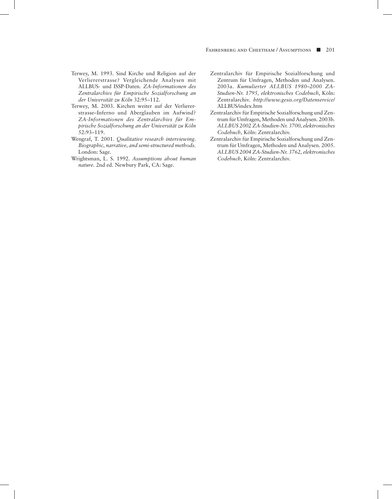- Terwey, M. 1993. Sind Kirche und Religion auf der Verliererstrasse? Vergleichende Analysen mit ALLBUS- und ISSP-Daten*. ZA-Informationen des Zentralarchivs für Empirische Sozialforschung an der Universität zu Köln* 32:95–112.
- Terwey, M. 2003. Kirchen weiter auf der Verliererstrasse–Inferno und Aberglauben im Aufwind? *ZA-Informationen des Zentralarchivs für Empirische Sozialforschung an der Universität zu Köln* 52:93–119.
- Wengraf, T. 2001. *Qualitative research interviewing. Biographic, narrative, and semi-structured methods.* London: Sage.
- Wrightsman, L. S. 1992. *Assumptions about human nature.* 2nd ed. Newbury Park, CA: Sage.
- Zentralarchiv für Empirische Sozialforschung und Zentrum für Umfragen, Methoden und Analysen. 2003a. *Kumulierter ALLBUS 1980*–*2000 ZA-Studien-Nr. 1795, elektronisches Codebuch*, Köln: Zentralarchiv. *http://www.gesis.org/Datenservice/* ALLBUS/index.htm
- Zentralarchiv für Empirische Sozialforschung und Zentrum für Umfragen, Methoden und Analysen. 2003b. *ALLBUS 2002 ZA-Studien-Nr. 3700, elektronisches Codebuch,* Köln: Zentralarchiv.
- Zentralarchiv für Empirische Sozialforschung und Zentrum für Umfragen, Methoden und Analysen. 2005. *ALLBUS 2004 ZA-Studien-Nr. 3762, elektronisches Codebuch,* Köln: Zentralarchiv.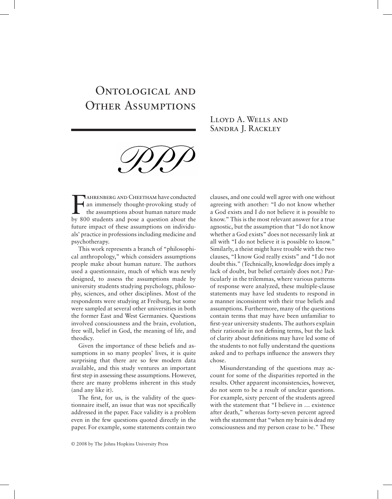# ONTOLOGICAL AND OTHER ASSUMPTIONS

Lloyd A. Wells and SANDRA J. RACKLEY

TAHRENBERG AND CHEETHAM have conducted<br>an immensely thought-provoking study of<br>the assumptions about human nature made an immensely thought-provoking study of the assumptions about human nature made by 800 students and pose a question about the future impact of these assumptions on individuals' practice in professions including medicine and psychotherapy.

This work represents a branch of "philosophical anthropology," which considers assumptions people make about human nature. The authors used a questionnaire, much of which was newly designed, to assess the assumptions made by university students studying psychology, philosophy, sciences, and other disciplines. Most of the respondents were studying at Freiburg, but some were sampled at several other universities in both the former East and West Germanies. Questions involved consciousness and the brain, evolution, free will, belief in God, the meaning of life, and theodicy.

Given the importance of these beliefs and assumptions in so many peoples' lives, it is quite surprising that there are so few modern data available, and this study ventures an important first step in assessing these assumptions. However, there are many problems inherent in this study (and any like it).

The first, for us, is the validity of the questionnaire itself, an issue that was not specifically addressed in the paper. Face validity is a problem even in the few questions quoted directly in the paper. For example, some statements contain two

whether a God exists" does not necessarily link at all with "I do not believe it is possible to know." Similarly, a theist might have trouble with the two clauses, "I know God really exists" and "I do not doubt this." (Technically, knowledge does imply a lack of doubt, but belief certainly does not.) Particularly in the trilemmas, where various patterns of response were analyzed, these multiple-clause statements may have led students to respond in a manner inconsistent with their true beliefs and assumptions. Furthermore, many of the questions contain terms that may have been unfamiliar to first-year university students. The authors explain their rationale in not defining terms, but the lack of clarity about definitions may have led some of the students to not fully understand the questions asked and to perhaps influence the answers they chose. Misunderstanding of the questions may ac-

clauses, and one could well agree with one without agreeing with another: "I do not know whether a God exists and I do not believe it is possible to know." This is the most relevant answer for a true agnostic, but the assumption that "I do not know

count for some of the disparities reported in the results. Other apparent inconsistencies, however, do not seem to be a result of unclear questions. For example, sixty percent of the students agreed with the statement that "I believe in … existence after death," whereas forty-seven percent agreed with the statement that "when my brain is dead my consciousness and my person cease to be." These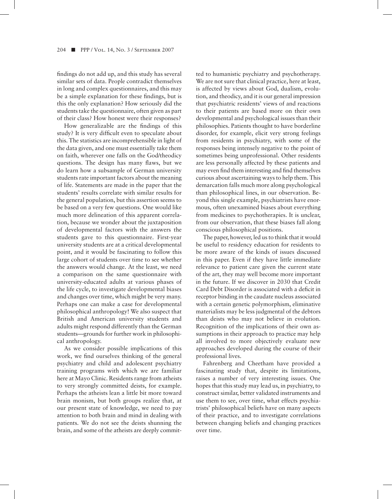findings do not add up, and this study has several similar sets of data. People contradict themselves in long and complex questionnaires, and this may be a simple explanation for these findings, but is this the only explanation? How seriously did the students take the questionnaire, often given as part of their class? How honest were their responses?

How generalizable are the findings of this study? It is very difficult even to speculate about this. The statistics are incomprehensible in light of the data given, and one must essentially take them on faith, wherever one falls on the God/theodicy questions. The design has many flaws, but we do learn how a subsample of German university students rate important factors about the meaning of life. Statements are made in the paper that the students' results correlate with similar results for the general population, but this assertion seems to be based on a very few questions. One would like much more delineation of this apparent correlation, because we wonder about the juxtaposition of developmental factors with the answers the students gave to this questionnaire. First-year university students are at a critical developmental point, and it would be fascinating to follow this large cohort of students over time to see whether the answers would change. At the least, we need a comparison on the same questionnaire with university-educated adults at various phases of the life cycle, to investigate developmental biases and changes over time, which might be very many. Perhaps one can make a case for developmental philosophical anthropology! We also suspect that British and American university students and adults might respond differently than the German students—grounds for further work in philosophical anthropology.

As we consider possible implications of this work, we find ourselves thinking of the general psychiatry and child and adolescent psychiatry training programs with which we are familiar here at Mayo Clinic. Residents range from atheists to very strongly committed deists, for example. Perhaps the atheists lean a little bit more toward brain monism, but both groups realize that, at our present state of knowledge, we need to pay attention to both brain and mind in dealing with patients. We do not see the deists shunning the brain, and some of the atheists are deeply committed to humanistic psychiatry and psychotherapy. We are not sure that clinical practice, here at least, is affected by views about God, dualism, evolution, and theodicy, and it is our general impression that psychiatric residents' views of and reactions to their patients are based more on their own developmental and psychological issues than their philosophies. Patients thought to have borderline disorder, for example, elicit very strong feelings from residents in psychiatry, with some of the responses being intensely negative to the point of sometimes being unprofessional. Other residents are less personally affected by these patients and may even find them interesting and find themselves curious about ascertaining ways to help them. This demarcation falls much more along psychological than philosophical lines, in our observation. Beyond this single example, psychiatrists have enormous, often unexamined biases about everything from medicines to psychotherapies. It is unclear, from our observation, that these biases fall along conscious philosophical positions.

The paper, however, led us to think that it would be useful to residency education for residents to be more aware of the kinds of issues discussed in this paper. Even if they have little immediate relevance to patient care given the current state of the art, they may well become more important in the future. If we discover in 2030 that Credit Card Debt Disorder is associated with a deficit in receptor binding in the caudate nucleus associated with a certain genetic polymorphism, eliminative materialists may be less judgmental of the debtors than deists who may not believe in evolution. Recognition of the implications of their own assumptions in their approach to practice may help all involved to more objectively evaluate new approaches developed during the course of their professional lives.

Fahrenberg and Cheetham have provided a fascinating study that, despite its limitations, raises a number of very interesting issues. One hopes that this study may lead us, in psychiatry, to construct similar, better validated instruments and use them to see, over time, what effects psychiatrists' philosophical beliefs have on many aspects of their practice, and to investigate correlations between changing beliefs and changing practices over time.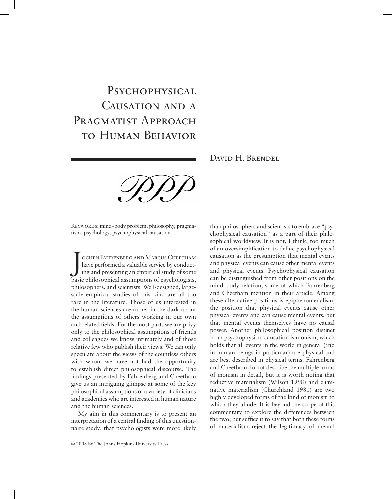# PSYCHOPHYSICAL Causation and a PRAGMATIST APPROACH to Human Behavior

David H. Brendel

KEYWORDS: mind-body problem, philosophy, pragmatism, psychology, psychophysical causation

J ochen Fahrenberg and Marcus Cheetham have performed a valuable service by conducting and presenting an empirical study of some basic philosophical assumptions of psychologists, philosophers, and scientists. Well-designed, largescale empirical studies of this kind are all too rare in the literature. Those of us interested in the human sciences are rather in the dark about the assumptions of others working in our own and related fields. For the most part, we are privy only to the philosophical assumptions of friends and colleagues we know intimately and of those relative few who publish their views. We can only speculate about the views of the countless others with whom we have not had the opportunity to establish direct philosophical discourse. The findings presented by Fahrenberg and Cheetham give us an intriguing glimpse at some of the key philosophical assumptions of a variety of clinicians and academics who are interested in human nature and the human sciences.

My aim in this commentary is to present an interpretation of a central finding of this questionnaire study: that psychologists were more likely

than philosophers and scientists to embrace "psychophysical causation" as a part of their philosophical worldview. It is not, I think, too much of an oversimplification to define psychophysical causation as the presumption that mental events and physical events can cause other mental events and physical events. Psychophysical causation can be distinguished from other positions on the mind–body relation, some of which Fahrenberg and Cheetham mention in their article. Among these alternative positions is epiphenomenalism, the position that physical events cause other physical events and can cause mental events, but that mental events themselves have no causal power. Another philosophical position distinct from psychophysical causation is monism, which holds that all events in the world in general (and in human beings in particular) are physical and are best described in physical terms. Fahrenberg and Cheetham do not describe the multiple forms of monism in detail, but it is worth noting that reductive materialism (Wilson 1998) and eliminative materialism (Churchland 1981) are two highly developed forms of the kind of monism to which they allude. It is beyond the scope of this commentary to explore the differences between the two, but suffice it to say that both these forms of materialism reject the legitimacy of mental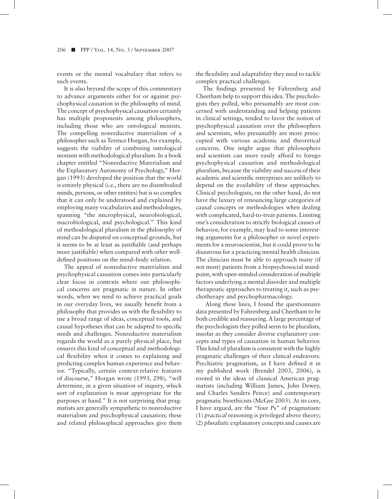events or the mental vocabulary that refers to such events.

It is also beyond the scope of this commentary to advance arguments either for or against psychophysical causation in the philosophy of mind. The concept of psychophysical causation certainly has multiple proponents among philosophers, including those who are ontological monists. The compelling nonreductive materialism of a philosopher such as Terence Horgan, for example, suggests the viability of combining ontological monism with methodological pluralism. In a book chapter entitled "Nonreductive Materialism and the Explanatory Autonomy of Psychology," Horgan (1993) developed the position that the world is entirely physical (i.e., there are no disembodied minds, persons, or other entities) but is so complex that it can only be understood and explained by employing many vocabularies and methodologies, spanning "the microphysical, neurobiological, macrobiological, and psychological." This kind of methodological pluralism in the philosophy of mind can be disputed on conceptual grounds, but it seems to be at least as justifiable (and perhaps more justifiable) when compared with other welldefined positions on the mind–body relation.

The appeal of nonreductive materialism and psychophysical causation comes into particularly clear focus in contexts where our philosophical concerns are pragmatic in nature. In other words, when we need to achieve practical goals in our everyday lives, we usually benefit from a philosophy that provides us with the flexibility to use a broad range of ideas, conceptual tools, and causal hypotheses that can be adapted to specific needs and challenges. Nonreductive materialism regards the world as a purely physical place, but ensures this kind of conceptual and methodological flexibility when it comes to explaining and predicting complex human experience and behavior. "Typically, certain context-relative features of discourse," Horgan wrote (1993, 298), "will determine, in a given situation of inquiry, which sort of explanation is most appropriate for the purposes at hand." It is not surprising that pragmatists are generally sympathetic to nonreductive materialism and psychophysical causation; these and related philosophical approaches give them the flexibility and adaptability they need to tackle complex practical challenges.

The findings presented by Fahrenberg and Cheetham help to support this idea. The psychologists they polled, who presumably are most concerned with understanding and helping patients in clinical settings, tended to favor the notion of psychophysical causation over the philosophers and scientists, who presumably are more preoccupied with various academic and theoretical concerns. One might argue that philosophers and scientists can more easily afford to forego psychophysical causation and methodological pluralism, because the viability and success of their academic and scientific enterprises are unlikely to depend on the availability of these approaches. Clinical psychologists, on the other hand, do not have the luxury of renouncing large categories of causal concepts or methodologies when dealing with complicated, hard-to-treat patients. Limiting one's consideration to strictly biological causes of behavior, for example, may lead to some interesting arguments for a philosopher or novel experiments for a neuroscientist, but it could prove to be disastrous for a practicing mental health clinician. The clinician must be able to approach many (if not most) patients from a biopsychosocial standpoint, with open-minded consideration of multiple factors underlying a mental disorder and multiple therapeutic approaches to treating it, such as psychotherapy and psychopharmacology.

 Along these lines, I found the questionnaire data presented by Fahrenberg and Cheetham to be both credible and reassuring. A large percentage of the psychologists they polled seem to be pluralists, insofar as they consider diverse explanatory concepts and types of causation in human behavior. This kind of pluralism is consistent with the highly pragmatic challenges of their clinical endeavors. Psychiatric pragmatism, as I have defined it in my published work (Brendel 2003, 2006), is rooted in the ideas of classical American pragmatists (including William James, John Dewey, and Charles Sanders Peirce) and contemporary pragmatic bioethicists (McGee 2003). At its core, I have argued, are the "four *P*s" of pragmatism: (1) *practical* reasoning is privileged above theory; (2) *pluralistic* explanatory concepts and causes are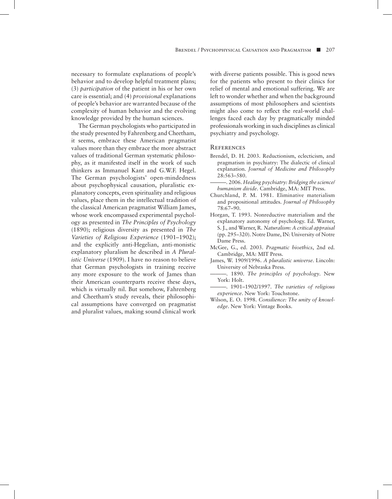necessary to formulate explanations of people's behavior and to develop helpful treatment plans; (3) *participation* of the patient in his or her own care is essential; and (4) *provisional* explanations of people's behavior are warranted because of the complexity of human behavior and the evolving knowledge provided by the human sciences.

The German psychologists who participated in the study presented by Fahrenberg and Cheetham, it seems, embrace these American pragmatist values more than they embrace the more abstract values of traditional German systematic philosophy, as it manifested itself in the work of such thinkers as Immanuel Kant and G.W.F. Hegel. The German psychologists' open-mindedness about psychophysical causation, pluralistic explanatory concepts, even spirituality and religious values, place them in the intellectual tradition of the classical American pragmatist William James, whose work encompassed experimental psychology as presented in *The Principles of Psychology*  (1890); religious diversity as presented in *The Varieties of Religious Experience* (1901–1902); and the explicitly anti-Hegelian, anti-monistic explanatory pluralism he described in *A Pluralistic Universe* (1909). I have no reason to believe that German psychologists in training receive any more exposure to the work of James than their American counterparts receive these days, which is virtually nil. But somehow, Fahrenberg and Cheetham's study reveals, their philosophical assumptions have converged on pragmatist and pluralist values, making sound clinical work

with diverse patients possible. This is good news for the patients who present to their clinics for relief of mental and emotional suffering. We are left to wonder whether and when the background assumptions of most philosophers and scientists might also come to reflect the real-world challenges faced each day by pragmatically minded professionals working in such disciplines as clinical psychiatry and psychology.

#### **REFERENCES**

- Brendel, D. H. 2003. Reductionism, eclecticism, and pragmatism in psychiatry: The dialectic of clinical explanation. *Journal of Medicine and Philosophy* 28:563–580.
- ———. 2006. *Healing psychiatry: Bridging the science/ humanism divide*. Cambridge, MA: MIT Press.
- Churchland, P. M. 1981. Eliminative materialism and propositional attitudes. *Journal of Philosophy* 78:67–90.
- Horgan, T. 1993. Nonreductive materialism and the explanatory autonomy of psychology. Ed. Warner, S. J., and Warner, R. *Naturalism: A critical appraisal* (pp. 295–320). Notre Dame, IN: University of Notre Dame Press.
- McGee, G., ed. 2003. *Pragmatic bioethics*, 2nd ed. Cambridge, MA: MIT Press.
- James, W. 1909/1996. *A pluralistic universe*. Lincoln: University of Nebraska Press.
- ———. 1890. *The principles of psychology*. New York: Holt.
- ———. 1901–1902/1997. *The varieties of religious experience*. New York: Touchstone.
- Wilson, E. O. 1998. *Consilience: The unity of knowledge*. New York: Vintage Books.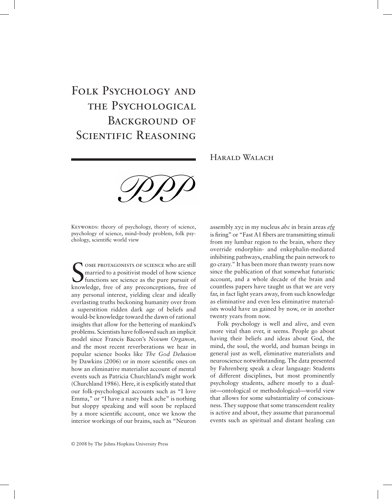# FOLK PSYCHOLOGY AND the Psychological BACKGROUND OF SCIENTIFIC REASONING

# Harald Walach

KEYWORDS: theory of psychology, theory of science, psychology of science, mind–body problem, folk psychology, scientific world view

SOME PROTAGONISTS OF SCIENCE who are still married to a positivist model of how science functions see science as the pure pursuit of knowledge, free of any preconceptions, free of ome protagonists of science who are still married to a positivist model of how science functions see science as the pure pursuit of any personal interest, yielding clear and ideally everlasting truths beckoning humanity over from a superstition ridden dark age of beliefs and would-be knowledge toward the dawn of rational insights that allow for the bettering of mankind's problems. Scientists have followed such an implicit model since Francis Bacon's *Novum Organon*, and the most recent reverberations we hear in popular science books like *The God Delusion* by Dawkins (2006) or in more scientific ones on how an eliminative materialist account of mental events such as Patricia Churchland's might work (Churchland 1986). Here, it is explicitly stated that our folk-psychological accounts such as "I love Emma," or "I have a nasty back ache" is nothing but sloppy speaking and will soon be replaced by a more scientific account, once we know the interior workings of our brains, such as "Neuron

assembly *xyz* in my nucleus *abc* in brain areas *efg* is firing" or "Fast A1 fibers are transmitting stimuli from my lumbar region to the brain, where they override endorphin- and enkephalin-mediated inhibiting pathways, enabling the pain network to go crazy." It has been more than twenty years now since the publication of that somewhat futuristic account, and a whole decade of the brain and countless papers have taught us that we are very far, in fact light years away, from such knowledge as eliminative and even less eliminative materialists would have us gained by now, or in another twenty years from now.

Folk psychology is well and alive, and even more vital than ever, it seems. People go about having their beliefs and ideas about God, the mind, the soul, the world, and human beings in general just as well, eliminative materialists and neuroscience notwithstanding. The data presented by Fahrenberg speak a clear language: Students of different disciplines, but most prominently psychology students, adhere mostly to a dualist—ontological or methodological—world view that allows for some substantiality of consciousness. They suppose that some transcendent reality is active and about, they assume that paranormal events such as spiritual and distant healing can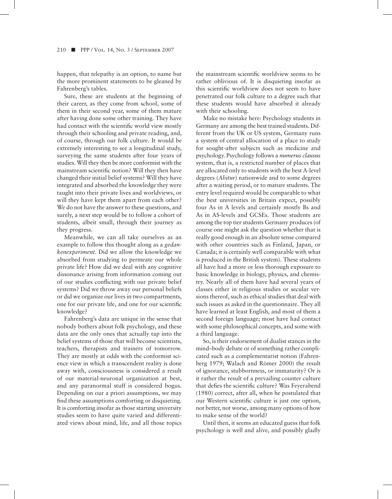happen, that telepathy is an option, to name but the more prominent statements to be gleaned by Fahrenberg's tables.

Sure, these are students at the beginning of their career, as they come from school, some of them in their second year, some of them mature after having done some other training. They have had contact with the scientific world view mostly through their schooling and private reading, and, of course, through our folk culture. It would be extremely interesting to see a longitudinal study, surveying the same students after four years of studies. Will they then be more conformist with the mainstream scientific notion? Will they then have changed their initial belief systems? Will they have integrated and absorbed the knowledge they were taught into their private lives and worldviews, or will they have kept them apart from each other? We do not have the answer to these questions, and surely, a next step would be to follow a cohort of students, albeit small, through their journey as they progress.

Meanwhile, we can all take ourselves as an example to follow this thought along as a *gedankenexperiment*. Did we allow the knowledge we absorbed from studying to permeate our whole private life? How did we deal with any cognitive dissonance arising from information coming out of our studies conflicting with our private belief systems? Did we throw away our personal beliefs or did we organize our lives in two compartments, one for our private life, and one for our scientific knowledge?

Fahrenberg's data are unique in the sense that nobody bothers about folk psychology, and these data are the only ones that actually tap into the belief systems of those that will become scientists, teachers, therapists and trainers of tomorrow. They are mostly at odds with the conformist science view in which a transcendent reality is done away with, consciousness is considered a result of our material-neuronal organization at best, and any paranormal stuff is considered bogus. Depending on our a priori assumptions, we may find these assumptions comforting or disquieting. It is comforting insofar as those starting university studies seem to have quite varied and differentiated views about mind, life, and all those topics the mainstream scientific worldview seems to be rather oblivious of. It is disquieting insofar as this scientific worldview does not seem to have penetrated our folk culture to a degree such that these students would have absorbed it already with their schooling.

Make no mistake here: Psychology students in Germany are among the best trained students. Different from the UK or US system, Germany runs a system of central allocation of a place to study for sought-after subjects such as medicine and psychology. Psychology follows a *numerus clausus* system, that is, a restricted number of places that are allocated only to students with the best A-level degrees (*Abitur*) nationwide and to some degrees after a waiting period, or to mature students. The entry level required would be comparable to what the best universities in Britain expect, possibly four As in A levels and certainly mostly Bs and As in AS-levels and GCSEs. Those students are among the top tier students Germany produces (of course one might ask the question whether that is really good enough in an absolute sense compared with other countries such as Finland, Japan, or Canada; it is certainly well comparable with what is produced in the British system). These students all have had a more or less thorough exposure to basic knowledge in biology, physics, and chemistry. Nearly all of them have had several years of classes either in religious studies or secular versions thereof, such as ethical studies that deal with such issues as asked in the questionnaire. They all have learned at least English, and most of them a second foreign language; most have had contact with some philosophical concepts, and some with a third language.

So, is their endorsement of dualist stances in the mind–body debate or of something rather complicated such as a complementarist notion (Fahrenberg 1979; Walach and Römer 2000) the result of ignorance, stubbornness, or immaturity? Or is it rather the result of a prevailing counter culture that defies the scientific culture? Was Feyerabend (1980) correct, after all, when he postulated that our Western scientific culture is just one option, not better, not worse, among many options of how to make sense of the world?

Until then, it seems an educated guess that folk psychology is well and alive, and possibly gladly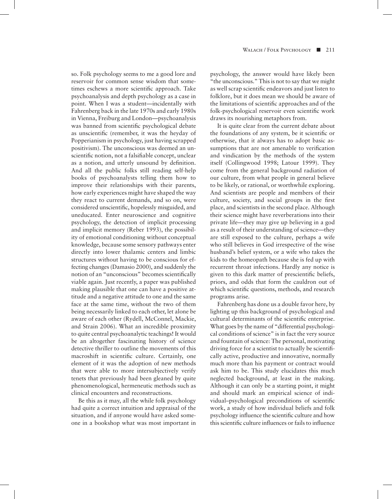so. Folk psychology seems to me a good lore and reservoir for common sense wisdom that sometimes eschews a more scientific approach. Take psychoanalysis and depth psychology as a case in point. When I was a student—incidentally with Fahrenberg back in the late 1970s and early 1980s in Vienna, Freiburg and London—psychoanalysis was banned from scientific psychological debate as unscientific (remember, it was the heyday of Popperianism in psychology, just having scrapped positivism). The unconscious was deemed an unscientific notion, not a falsifiable concept, unclear as a notion, and utterly unsound by definition. And all the public folks still reading self-help books of psychoanalysts telling them how to improve their relationships with their parents, how early experiences might have shaped the way they react to current demands, and so on, were considered unscientific, hopelessly misguided, and uneducated. Enter neuroscience and cognitive psychology, the detection of implicit processing and implicit memory (Reber 1993), the possibility of emotional conditioning without conceptual knowledge, because some sensory pathways enter directly into lower thalamic centers and limbic structures without having to be conscious for effecting changes (Damasio 2000), and suddenly the notion of an "unconscious" becomes scientifically viable again. Just recently, a paper was published making plausible that one can have a positive attitude and a negative attitude to one and the same face at the same time, without the two of them being necessarily linked to each other, let alone be aware of each other (Rydell, McConnel, Mackie, and Strain 2006). What an incredible proximity to quite central psychoanalytic teachings! It would be an altogether fascinating history of science detective thriller to outline the movements of this macroshift in scientific culture. Certainly, one element of it was the adoption of new methods that were able to more intersubjectively verify tenets that previously had been gleaned by quite phenomenological, hermeneutic methods such as clinical encounters and reconstructions.

Be this as it may, all the while folk psychology had quite a correct intuition and appraisal of the situation, and if anyone would have asked someone in a bookshop what was most important in

psychology, the answer would have likely been "the unconscious." This is not to say that we might as well scrap scientific endeavors and just listen to folklore, but it does mean we should be aware of the limitations of scientific approaches and of the folk-psychological reservoir even scientific work draws its nourishing metaphors from.

It is quite clear from the current debate about the foundations of any system, be it scientific or otherwise, that it always has to adopt basic assumptions that are not amenable to verification and vindication by the methods of the system itself (Collingwood 1998; Latour 1999). They come from the general background radiation of our culture, from what people in general believe to be likely, or rational, or worthwhile exploring. And scientists are people and members of their culture, society, and social groups in the first place, and scientists in the second place. Although their science might have reverberations into their private life—they may give up believing in a god as a result of their understanding of science—they are still exposed to the culture, perhaps a wife who still believes in God irrespective of the wise husband's belief system, or a wife who takes the kids to the homeopath because she is fed up with recurrent throat infections. Hardly any notice is given to this dark matter of prescientific beliefs, priors, and odds that form the cauldron out of which scientific questions, methods, and research programs arise.

Fahrenberg has done us a double favor here, by lighting up this background of psychological and cultural determinants of the scientific enterprise. What goes by the name of "differential psychological conditions of science" is in fact the very source and fountain of science: The personal, motivating driving force for a scientist to actually be scientifically active, productive and innovative, normally much more than his payment or contract would ask him to be. This study elucidates this much neglected background, at least in the making. Although it can only be a starting point, it might and should mark an empirical science of individual–psychological preconditions of scientific work, a study of how individual beliefs and folk psychology influence the scientific culture and how this scientific culture influences or fails to influence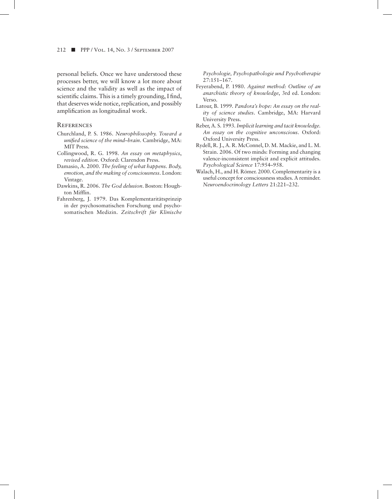personal beliefs. Once we have understood these processes better, we will know a lot more about science and the validity as well as the impact of scientific claims. This is a timely grounding, I find, that deserves wide notice, replication, and possibly amplification as longitudinal work.

#### **REFERENCES**

- Churchland, P. S. 1986. *Neurophilosophy. Toward a unified science of the mind*–*brain*. Cambridge, MA: MIT Press.
- Collingwood, R. G. 1998. *An essay on metaphysics*, *revised edition*. Oxford: Clarendon Press.
- Damasio, A. 2000. *The feeling of what happens. Body, emotion, and the making of consciousness*. London: Vintage.
- Dawkins, R. 2006. *The God delusion*. Boston: Houghton Mifflin.
- Fahrenberg, J. 1979. Das Komplementaritätsprinzip in der psychosomatischen Forschung und psychosomatischen Medizin. *Zeitschrift für Klinische*

*Psychologie, Psychopathologie und Psychotherapie*  27:151–167.

- Feyerabend, P. 1980. *Against method: Outline of an anarchistic theory of knowledge*, 3rd ed. London: Verso.
- Latour, B. 1999. *Pandora's hope: An essay on the reality of science studies*. Cambridge, MA: Harvard University Press.
- Reber, A. S. 1993. *Implicit learning and tacit knowledge. An essay on the cognitive unconscious*. Oxford: Oxford University Press.
- Rydell, R. J., A. R. McConnel, D. M. Mackie, and L. M. Strain. 2006. Of two minds: Forming and changing valence-inconsistent implicit and explicit attitudes. *Psychological Science* 17:954–958.
- Walach, H., and H. Römer. 2000. Complementarity is a useful concept for consciousness studies. A reminder. *Neuroendocrinology Letters* 21:221–232.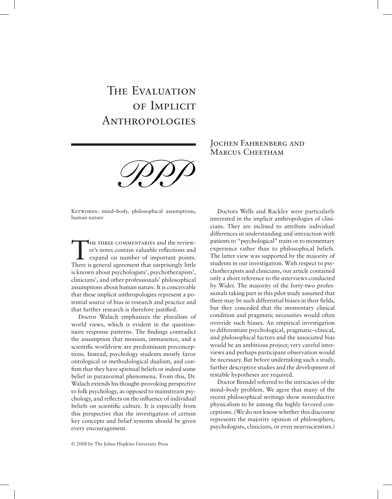# THE EVALUATION of Implicit Anthropologies

# Jochen Fahrenberg and MARCUS CHEETHAM

KEYWORDS: mind-body, philosophical assumptions, human nature

THE THREE COMMENTARIES and the review-<br>er's notes contain valuable reflections and<br>expand on number of important points. er's notes contain valuable reflections and expand on number of important points. There is general agreement that surprisingly little is known about psychologists', psychotherapists', clinicians', and other professionals' philosophical assumptions about human nature. It is conceivable that these implicit anthropologies represent a potential source of bias in research and practice and that further research is therefore justified.

Doctor Walach emphasizes the pluralism of world views, which is evident in the questionnaire response patterns. The findings contradict the assumption that monism, immanence, and a scientific worldview are predominant preconceptions. Instead, psychology students mostly favor ontological or methodological dualism, and confirm that they have spiritual beliefs or indeed some belief in paranormal phenomena. From this, Dr. Walach extends his thought-provoking perspective to folk psychology, as opposed to mainstream psychology, and reflects on the influence of individual beliefs on scientific culture. It is especially from this perspective that the investigation of certain key concepts and belief systems should be given every encouragement.

Doctors Wells and Rackley were particularly interested in the implicit anthropologies of clinicians. They are inclined to attribute individual differences in understanding and interaction with patients to "psychological" traits or to momentary experience rather than to philosophical beliefs. The latter view was supported by the majority of students in our investigation. With respect to psychotherapists and clinicians, our article contained only a short reference to the interviews conducted by Wider. The majority of the forty-two professionals taking part in this pilot study assumed that there may be such differential biases in their fields, but they conceded that the momentary clinical condition and pragmatic necessities would often override such biases. An empirical investigation to differentiate psychological, pragmatic–clinical, and philosophical factors and the associated bias would be an ambitious project; very careful interviews and perhaps participant observation would be necessary. But before undertaking such a study, further descriptive studies and the development of testable hypotheses are required.

Doctor Brendel referred to the intricacies of the mind–body problem. We agree that many of the recent philosophical writings show nonreductive physicalism to be among the highly favored conceptions. (We do not know whether this discourse represents the majority opinion of philosophers, psychologists, clinicians, or even neuroscientists.)